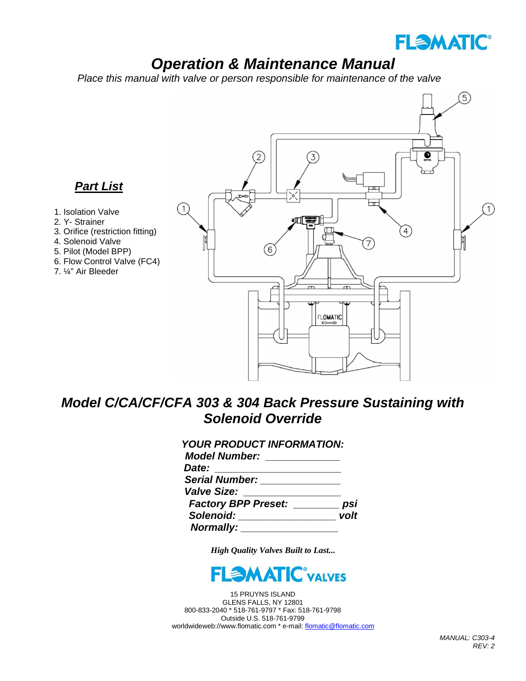

# *Operation & Maintenance Manual*

 *Place this manual with valve or person responsible for maintenance of the valve*



## *Model C/CA/CF/CFA 303 & 304 Back Pressure Sustaining with Solenoid Override*

| <b>YOUR PRODUCT INFORMATION:</b>     |      |
|--------------------------------------|------|
| Model Number: New York Model Number  |      |
| Date:                                |      |
| <b>Serial Number:</b> Serial Mumber: |      |
| <b>Valve Size:</b>                   |      |
| Factory BPP Preset: psi              |      |
| Solenoid: Solenoid:                  | volt |
| Normally: ____                       |      |

*High Quality Valves Built to Last...*



15 PRUYNS ISLAND GLENS FALLS, NY 12801 800-833-2040 \* 518-761-9797 \* Fax: 518-761-9798 Outside U.S. 518-761-9799 worldwideweb://www.flomatic.com \* e-mail[: flomatic@flomatic.com](mailto:flomatic@flomatic.com)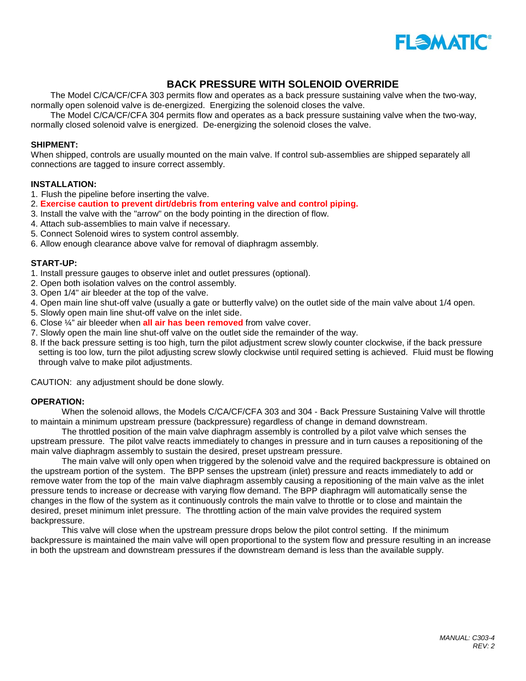

### **BACK PRESSURE WITH SOLENOID OVERRIDE**

The Model C/CA/CF/CFA 303 permits flow and operates as a back pressure sustaining valve when the two-way, normally open solenoid valve is de-energized. Energizing the solenoid closes the valve.

The Model C/CA/CF/CFA 304 permits flow and operates as a back pressure sustaining valve when the two-way, normally closed solenoid valve is energized. De-energizing the solenoid closes the valve.

#### **SHIPMENT:**

When shipped, controls are usually mounted on the main valve. If control sub-assemblies are shipped separately all connections are tagged to insure correct assembly.

#### **INSTALLATION:**

- 1. Flush the pipeline before inserting the valve.
- 2. **Exercise caution to prevent dirt/debris from entering valve and control piping.**
- 3. Install the valve with the "arrow" on the body pointing in the direction of flow.
- 4. Attach sub-assemblies to main valve if necessary.
- 5. Connect Solenoid wires to system control assembly.
- 6. Allow enough clearance above valve for removal of diaphragm assembly.

#### **START-UP:**

- 1. Install pressure gauges to observe inlet and outlet pressures (optional).
- 2. Open both isolation valves on the control assembly.
- 3. Open 1/4" air bleeder at the top of the valve.
- 4. Open main line shut-off valve (usually a gate or butterfly valve) on the outlet side of the main valve about 1/4 open.
- 5. Slowly open main line shut-off valve on the inlet side.
- 6. Close ¼" air bleeder when **all air has been removed** from valve cover.
- 7. Slowly open the main line shut-off valve on the outlet side the remainder of the way.
- 8. If the back pressure setting is too high, turn the pilot adjustment screw slowly counter clockwise, if the back pressure setting is too low, turn the pilot adjusting screw slowly clockwise until required setting is achieved. Fluid must be flowing through valve to make pilot adjustments.

CAUTION: any adjustment should be done slowly.

#### **OPERATION:**

When the solenoid allows, the Models C/CA/CF/CFA 303 and 304 - Back Pressure Sustaining Valve will throttle to maintain a minimum upstream pressure (backpressure) regardless of change in demand downstream.

The throttled position of the main valve diaphragm assembly is controlled by a pilot valve which senses the upstream pressure. The pilot valve reacts immediately to changes in pressure and in turn causes a repositioning of the main valve diaphragm assembly to sustain the desired, preset upstream pressure.

The main valve will only open when triggered by the solenoid valve and the required backpressure is obtained on the upstream portion of the system. The BPP senses the upstream (inlet) pressure and reacts immediately to add or remove water from the top of the main valve diaphragm assembly causing a repositioning of the main valve as the inlet pressure tends to increase or decrease with varying flow demand. The BPP diaphragm will automatically sense the changes in the flow of the system as it continuously controls the main valve to throttle or to close and maintain the desired, preset minimum inlet pressure. The throttling action of the main valve provides the required system backpressure.

This valve will close when the upstream pressure drops below the pilot control setting. If the minimum backpressure is maintained the main valve will open proportional to the system flow and pressure resulting in an increase in both the upstream and downstream pressures if the downstream demand is less than the available supply.